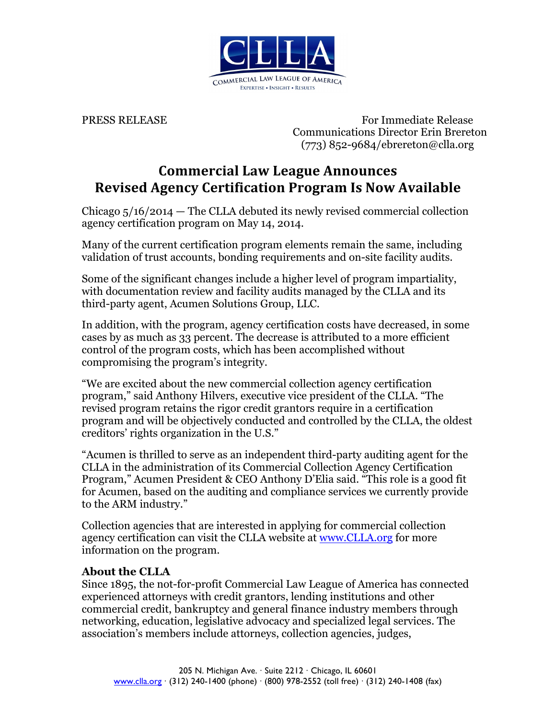

PRESS RELEASE For Immediate Release Communications Director Erin Brereton (773) 852-9684/ebrereton@clla.org

## **Commercial Law League Announces Revised Agency Certification Program Is Now Available**

Chicago 5/16/2014 — The CLLA debuted its newly revised commercial collection agency certification program on May 14, 2014.

Many of the current certification program elements remain the same, including validation of trust accounts, bonding requirements and on-site facility audits.

Some of the significant changes include a higher level of program impartiality, with documentation review and facility audits managed by the CLLA and its third-party agent, Acumen Solutions Group, LLC.

In addition, with the program, agency certification costs have decreased, in some cases by as much as 33 percent. The decrease is attributed to a more efficient control of the program costs, which has been accomplished without compromising the program's integrity.

"We are excited about the new commercial collection agency certification program," said Anthony Hilvers, executive vice president of the CLLA. "The revised program retains the rigor credit grantors require in a certification program and will be objectively conducted and controlled by the CLLA, the oldest creditors' rights organization in the U.S."

"Acumen is thrilled to serve as an independent third-party auditing agent for the CLLA in the administration of its Commercial Collection Agency Certification Program," Acumen President & CEO Anthony D'Elia said. "This role is a good fit for Acumen, based on the auditing and compliance services we currently provide to the ARM industry."

Collection agencies that are interested in applying for commercial collection agency certification can visit the CLLA website at <u>www.CLLA.org</u> for more information on the program.

## **About the CLLA**

Since 1895, the not-for-profit Commercial Law League of America has connected experienced attorneys with credit grantors, lending institutions and other commercial credit, bankruptcy and general finance industry members through networking, education, legislative advocacy and specialized legal services. The association's members include attorneys, collection agencies, judges,